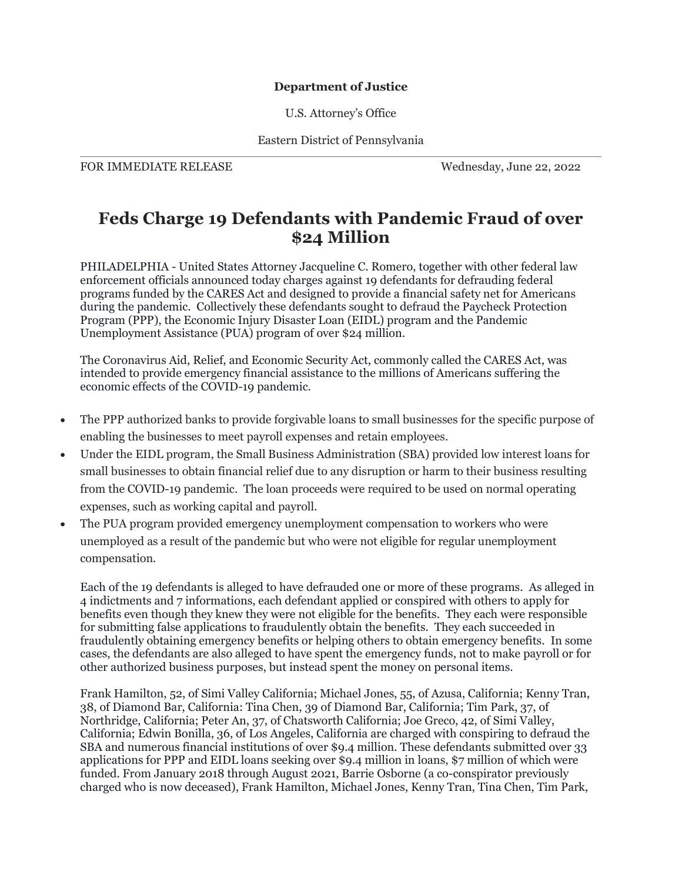## **Department of Justice**

U.S. Attorney's Office

Eastern District of Pennsylvania

FOR IMMEDIATE RELEASE Wednesday, June 22, 2022

## **Feds Charge 19 Defendants with Pandemic Fraud of over \$24 Million**

PHILADELPHIA - United States Attorney Jacqueline C. Romero, together with other federal law enforcement officials announced today charges against 19 defendants for defrauding federal programs funded by the CARES Act and designed to provide a financial safety net for Americans during the pandemic. Collectively these defendants sought to defraud the Paycheck Protection Program (PPP), the Economic Injury Disaster Loan (EIDL) program and the Pandemic Unemployment Assistance (PUA) program of over \$24 million.

The Coronavirus Aid, Relief, and Economic Security Act, commonly called the CARES Act, was intended to provide emergency financial assistance to the millions of Americans suffering the economic effects of the COVID-19 pandemic.

- The PPP authorized banks to provide forgivable loans to small businesses for the specific purpose of enabling the businesses to meet payroll expenses and retain employees.
- Under the EIDL program, the Small Business Administration (SBA) provided low interest loans for small businesses to obtain financial relief due to any disruption or harm to their business resulting from the COVID-19 pandemic. The loan proceeds were required to be used on normal operating expenses, such as working capital and payroll.
- The PUA program provided emergency unemployment compensation to workers who were unemployed as a result of the pandemic but who were not eligible for regular unemployment compensation.

Each of the 19 defendants is alleged to have defrauded one or more of these programs. As alleged in 4 indictments and 7 informations, each defendant applied or conspired with others to apply for benefits even though they knew they were not eligible for the benefits. They each were responsible for submitting false applications to fraudulently obtain the benefits. They each succeeded in fraudulently obtaining emergency benefits or helping others to obtain emergency benefits. In some cases, the defendants are also alleged to have spent the emergency funds, not to make payroll or for other authorized business purposes, but instead spent the money on personal items.

Frank Hamilton, 52, of Simi Valley California; Michael Jones, 55, of Azusa, California; Kenny Tran, 38, of Diamond Bar, California: Tina Chen, 39 of Diamond Bar, California; Tim Park, 37, of Northridge, California; Peter An, 37, of Chatsworth California; Joe Greco, 42, of Simi Valley, California; Edwin Bonilla, 36, of Los Angeles, California are charged with conspiring to defraud the SBA and numerous financial institutions of over \$9.4 million. These defendants submitted over 33 applications for PPP and EIDL loans seeking over \$9.4 million in loans, \$7 million of which were funded. From January 2018 through August 2021, Barrie Osborne (a co-conspirator previously charged who is now deceased), Frank Hamilton, Michael Jones, Kenny Tran, Tina Chen, Tim Park,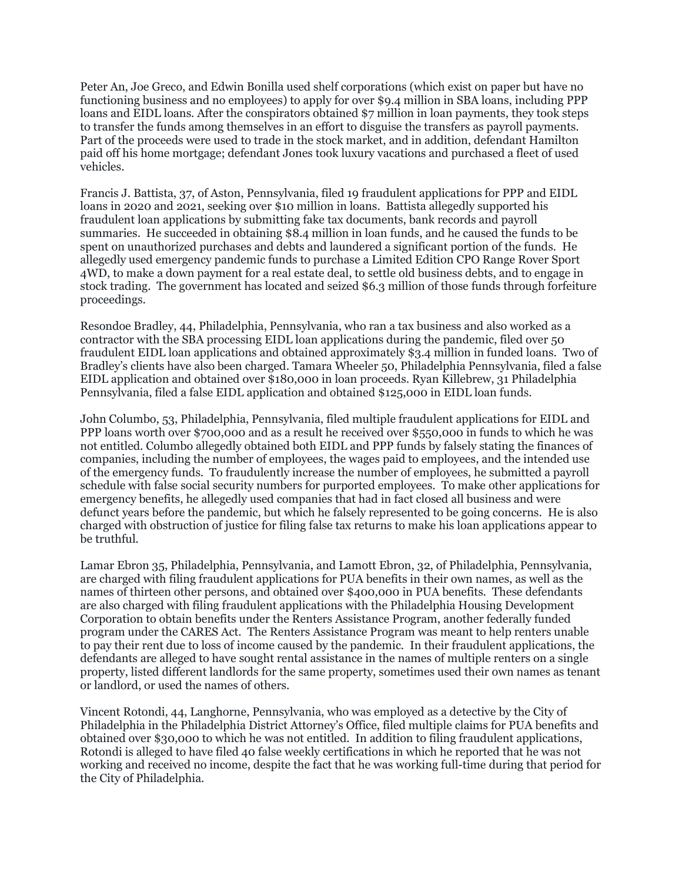Peter An, Joe Greco, and Edwin Bonilla used shelf corporations (which exist on paper but have no functioning business and no employees) to apply for over \$9.4 million in SBA loans, including PPP loans and EIDL loans. After the conspirators obtained \$7 million in loan payments, they took steps to transfer the funds among themselves in an effort to disguise the transfers as payroll payments. Part of the proceeds were used to trade in the stock market, and in addition, defendant Hamilton paid off his home mortgage; defendant Jones took luxury vacations and purchased a fleet of used vehicles.

Francis J. Battista, 37, of Aston, Pennsylvania, filed 19 fraudulent applications for PPP and EIDL loans in 2020 and 2021, seeking over \$10 million in loans. Battista allegedly supported his fraudulent loan applications by submitting fake tax documents, bank records and payroll summaries. He succeeded in obtaining \$8.4 million in loan funds, and he caused the funds to be spent on unauthorized purchases and debts and laundered a significant portion of the funds. He allegedly used emergency pandemic funds to purchase a Limited Edition CPO Range Rover Sport 4WD, to make a down payment for a real estate deal, to settle old business debts, and to engage in stock trading. The government has located and seized \$6.3 million of those funds through forfeiture proceedings.

Resondoe Bradley, 44, Philadelphia, Pennsylvania, who ran a tax business and also worked as a contractor with the SBA processing EIDL loan applications during the pandemic, filed over 50 fraudulent EIDL loan applications and obtained approximately \$3.4 million in funded loans. Two of Bradley's clients have also been charged. Tamara Wheeler 50, Philadelphia Pennsylvania, filed a false EIDL application and obtained over \$180,000 in loan proceeds. Ryan Killebrew, 31 Philadelphia Pennsylvania, filed a false EIDL application and obtained \$125,000 in EIDL loan funds.

John Columbo, 53, Philadelphia, Pennsylvania, filed multiple fraudulent applications for EIDL and PPP loans worth over \$700,000 and as a result he received over \$550,000 in funds to which he was not entitled. Columbo allegedly obtained both EIDL and PPP funds by falsely stating the finances of companies, including the number of employees, the wages paid to employees, and the intended use of the emergency funds. To fraudulently increase the number of employees, he submitted a payroll schedule with false social security numbers for purported employees. To make other applications for emergency benefits, he allegedly used companies that had in fact closed all business and were defunct years before the pandemic, but which he falsely represented to be going concerns. He is also charged with obstruction of justice for filing false tax returns to make his loan applications appear to be truthful.

Lamar Ebron 35, Philadelphia, Pennsylvania, and Lamott Ebron, 32, of Philadelphia, Pennsylvania, are charged with filing fraudulent applications for PUA benefits in their own names, as well as the names of thirteen other persons, and obtained over \$400,000 in PUA benefits. These defendants are also charged with filing fraudulent applications with the Philadelphia Housing Development Corporation to obtain benefits under the Renters Assistance Program, another federally funded program under the CARES Act. The Renters Assistance Program was meant to help renters unable to pay their rent due to loss of income caused by the pandemic. In their fraudulent applications, the defendants are alleged to have sought rental assistance in the names of multiple renters on a single property, listed different landlords for the same property, sometimes used their own names as tenant or landlord, or used the names of others.

Vincent Rotondi, 44, Langhorne, Pennsylvania, who was employed as a detective by the City of Philadelphia in the Philadelphia District Attorney's Office, filed multiple claims for PUA benefits and obtained over \$30,000 to which he was not entitled. In addition to filing fraudulent applications, Rotondi is alleged to have filed 40 false weekly certifications in which he reported that he was not working and received no income, despite the fact that he was working full-time during that period for the City of Philadelphia.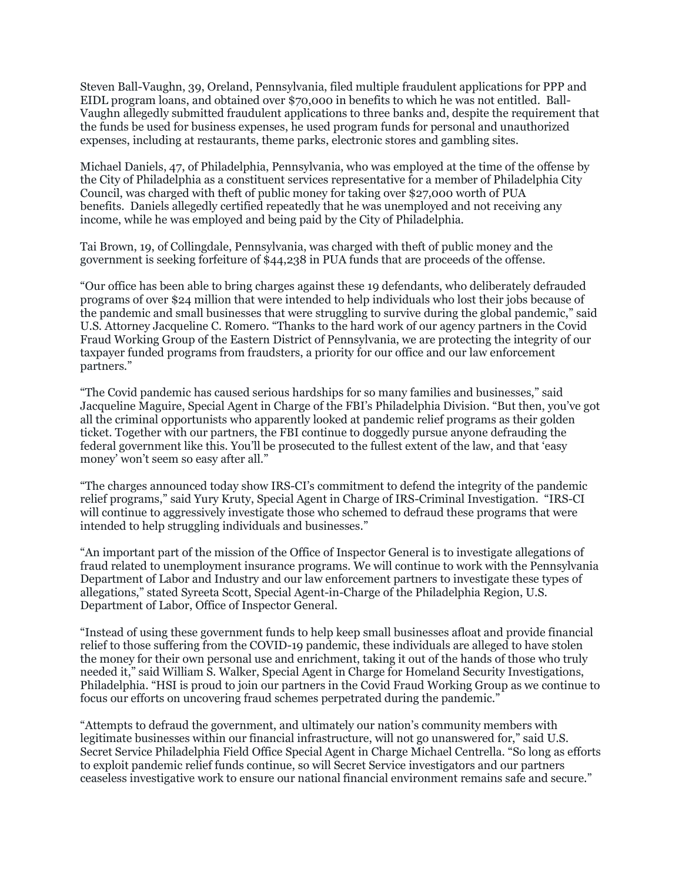Steven Ball-Vaughn, 39, Oreland, Pennsylvania, filed multiple fraudulent applications for PPP and EIDL program loans, and obtained over \$70,000 in benefits to which he was not entitled. Ball-Vaughn allegedly submitted fraudulent applications to three banks and, despite the requirement that the funds be used for business expenses, he used program funds for personal and unauthorized expenses, including at restaurants, theme parks, electronic stores and gambling sites.

Michael Daniels, 47, of Philadelphia, Pennsylvania, who was employed at the time of the offense by the City of Philadelphia as a constituent services representative for a member of Philadelphia City Council, was charged with theft of public money for taking over \$27,000 worth of PUA benefits. Daniels allegedly certified repeatedly that he was unemployed and not receiving any income, while he was employed and being paid by the City of Philadelphia.

Tai Brown, 19, of Collingdale, Pennsylvania, was charged with theft of public money and the government is seeking forfeiture of \$44,238 in PUA funds that are proceeds of the offense.

"Our office has been able to bring charges against these 19 defendants, who deliberately defrauded programs of over \$24 million that were intended to help individuals who lost their jobs because of the pandemic and small businesses that were struggling to survive during the global pandemic," said U.S. Attorney Jacqueline C. Romero. "Thanks to the hard work of our agency partners in the Covid Fraud Working Group of the Eastern District of Pennsylvania, we are protecting the integrity of our taxpayer funded programs from fraudsters, a priority for our office and our law enforcement partners."

"The Covid pandemic has caused serious hardships for so many families and businesses," said Jacqueline Maguire, Special Agent in Charge of the FBI's Philadelphia Division. "But then, you've got all the criminal opportunists who apparently looked at pandemic relief programs as their golden ticket. Together with our partners, the FBI continue to doggedly pursue anyone defrauding the federal government like this. You'll be prosecuted to the fullest extent of the law, and that 'easy money' won't seem so easy after all."

"The charges announced today show IRS-CI's commitment to defend the integrity of the pandemic relief programs," said Yury Kruty, Special Agent in Charge of IRS-Criminal Investigation. "IRS-CI will continue to aggressively investigate those who schemed to defraud these programs that were intended to help struggling individuals and businesses."

"An important part of the mission of the Office of Inspector General is to investigate allegations of fraud related to unemployment insurance programs. We will continue to work with the Pennsylvania Department of Labor and Industry and our law enforcement partners to investigate these types of allegations," stated Syreeta Scott, Special Agent-in-Charge of the Philadelphia Region, U.S. Department of Labor, Office of Inspector General.

"Instead of using these government funds to help keep small businesses afloat and provide financial relief to those suffering from the COVID-19 pandemic, these individuals are alleged to have stolen the money for their own personal use and enrichment, taking it out of the hands of those who truly needed it," said William S. Walker, Special Agent in Charge for Homeland Security Investigations, Philadelphia. "HSI is proud to join our partners in the Covid Fraud Working Group as we continue to focus our efforts on uncovering fraud schemes perpetrated during the pandemic."

"Attempts to defraud the government, and ultimately our nation's community members with legitimate businesses within our financial infrastructure, will not go unanswered for," said U.S. Secret Service Philadelphia Field Office Special Agent in Charge Michael Centrella. "So long as efforts to exploit pandemic relief funds continue, so will Secret Service investigators and our partners ceaseless investigative work to ensure our national financial environment remains safe and secure."